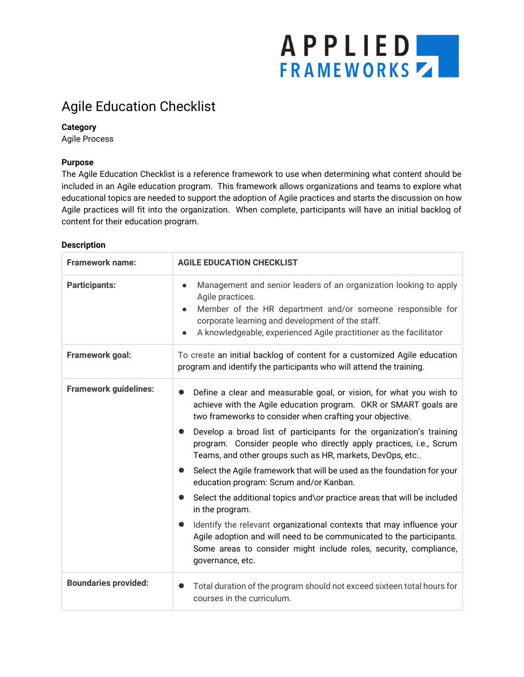# APPLIED

### Agile Education Checklist

#### **Category**

Agile Process

#### **Purpose**

The Agile Education Checklist is a reference framework to use when determining what content should be included in an Agile education program. This framework allows organizations and teams to explore what educational topics are needed to support the adoption of Agile practices and starts the discussion on how Agile practices will fit into the organization. When complete, participants will have an initial backlog of content for their education program.

#### **Description**

| Framework name:              | <b>AGILE EDUCATION CHECKLIST</b>                                                                                                                                                                                                                                                                                                                                                                                                                                                                                                                                                                                                                                                                                                                                                                                                                                                                                                 |  |
|------------------------------|----------------------------------------------------------------------------------------------------------------------------------------------------------------------------------------------------------------------------------------------------------------------------------------------------------------------------------------------------------------------------------------------------------------------------------------------------------------------------------------------------------------------------------------------------------------------------------------------------------------------------------------------------------------------------------------------------------------------------------------------------------------------------------------------------------------------------------------------------------------------------------------------------------------------------------|--|
| <b>Participants:</b>         | Management and senior leaders of an organization looking to apply<br>$\bullet$<br>Agile practices.<br>Member of the HR department and/or someone responsible for<br>corporate learning and development of the staff.<br>A knowledgeable, experienced Agile practitioner as the facilitator                                                                                                                                                                                                                                                                                                                                                                                                                                                                                                                                                                                                                                       |  |
| Framework goal:              | To create an initial backlog of content for a customized Agile education<br>program and identify the participants who will attend the training.                                                                                                                                                                                                                                                                                                                                                                                                                                                                                                                                                                                                                                                                                                                                                                                  |  |
| <b>Framework guidelines:</b> | Define a clear and measurable goal, or vision, for what you wish to<br>$\bullet$<br>achieve with the Agile education program. OKR or SMART goals are<br>two frameworks to consider when crafting your objective.<br>Develop a broad list of participants for the organization's training<br>$\bullet$<br>program. Consider people who directly apply practices, i.e., Scrum<br>Teams, and other groups such as HR, markets, DevOps, etc<br>Select the Agile framework that will be used as the foundation for your<br>$\bullet$<br>education program: Scrum and/or Kanban.<br>Select the additional topics and\or practice areas that will be included<br>$\bullet$<br>in the program.<br>Identify the relevant organizational contexts that may influence your<br>Agile adoption and will need to be communicated to the participants.<br>Some areas to consider might include roles, security, compliance,<br>governance, etc. |  |
| <b>Boundaries provided:</b>  | Total duration of the program should not exceed sixteen total hours for<br>$\bullet$<br>courses in the curriculum.                                                                                                                                                                                                                                                                                                                                                                                                                                                                                                                                                                                                                                                                                                                                                                                                               |  |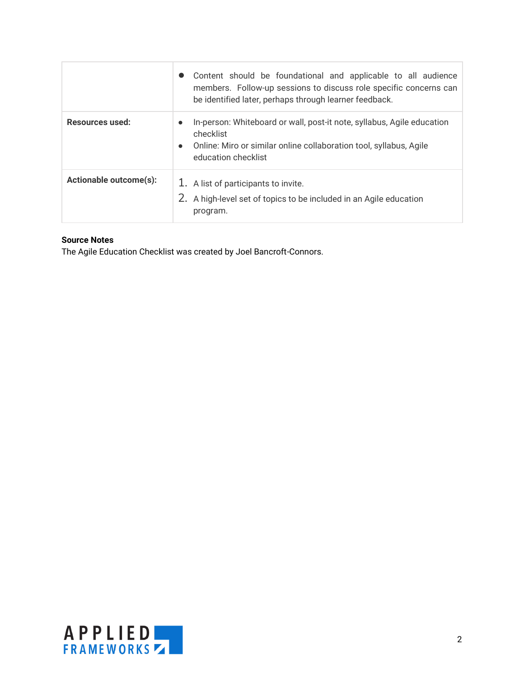|                               | Content should be foundational and applicable to all audience<br>members. Follow-up sessions to discuss role specific concerns can<br>be identified later, perhaps through learner feedback.               |
|-------------------------------|------------------------------------------------------------------------------------------------------------------------------------------------------------------------------------------------------------|
| Resources used:               | In-person: Whiteboard or wall, post-it note, syllabus, Agile education<br>$\bullet$<br>checklist<br>Online: Miro or similar online collaboration tool, syllabus, Agile<br>$\bullet$<br>education checklist |
| <b>Actionable outcome(s):</b> | 1. A list of participants to invite.<br>2. A high-level set of topics to be included in an Agile education<br>program.                                                                                     |

#### **Source Notes**

The Agile Education Checklist was created by Joel Bancroft-Connors.

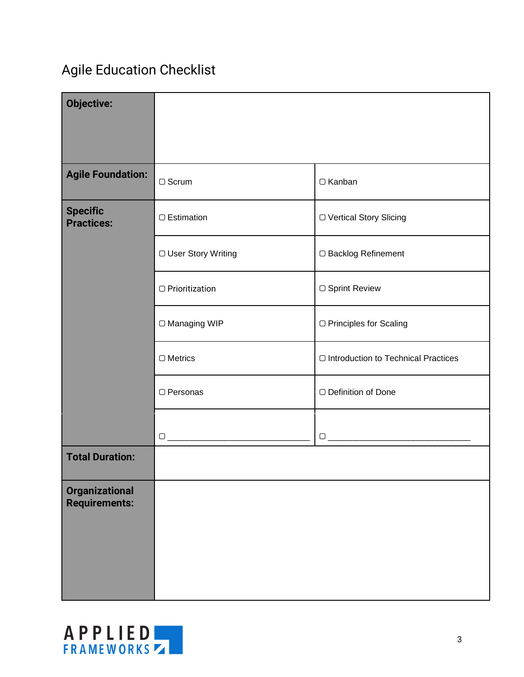# Agile Education Checklist

| <b>Objective:</b>                             |                       |                                       |
|-----------------------------------------------|-----------------------|---------------------------------------|
| <b>Agile Foundation:</b>                      | $\Box$ Scrum          | □ Kanban                              |
| <b>Specific</b><br><b>Practices:</b>          | □ Estimation          | □ Vertical Story Slicing              |
|                                               | □ User Story Writing  | □ Backlog Refinement                  |
|                                               | $\Box$ Prioritization | □ Sprint Review                       |
|                                               | □ Managing WIP        | □ Principles for Scaling              |
|                                               | $\Box$ Metrics        | □ Introduction to Technical Practices |
|                                               | □ Personas            | □ Definition of Done                  |
|                                               |                       |                                       |
| <b>Total Duration:</b>                        |                       |                                       |
| <b>Organizational</b><br><b>Requirements:</b> |                       |                                       |

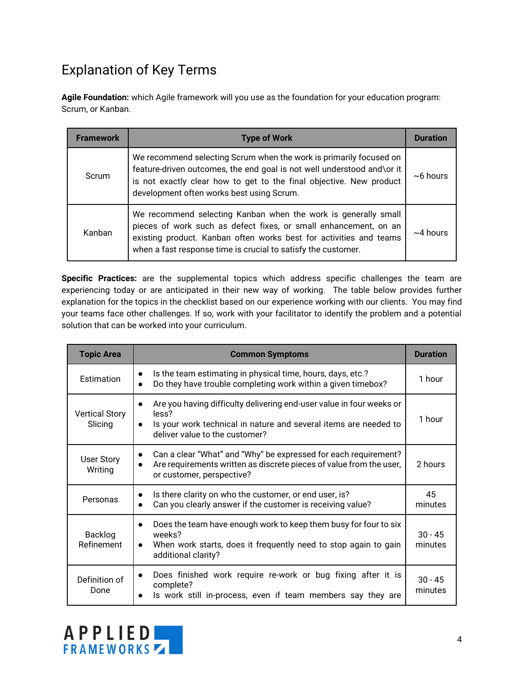## Explanation of Key Terms

**Agile Foundation:** which Agile framework will you use as the foundation for your education program: Scrum, or Kanban.

| Framework | <b>Type of Work</b>                                                                                                                                                                                                                                                       | <b>Duratio</b> |
|-----------|---------------------------------------------------------------------------------------------------------------------------------------------------------------------------------------------------------------------------------------------------------------------------|----------------|
| Scrum     | We recommend selecting Scrum when the work is primarily focused on<br>feature-driven outcomes, the end goal is not well understood and\or it<br>is not exactly clear how to get to the final objective. New product<br>development often works best using Scrum.          | $~6$ hours     |
| Kanban    | We recommend selecting Kanban when the work is generally small<br>pieces of work such as defect fixes, or small enhancement, on an<br>existing product. Kanban often works best for activities and teams<br>when a fast response time is crucial to satisfy the customer. | $\sim$ 4 hours |

**Specific Practices:** are the supplemental topics which address specific challenges the team are experiencing today or are anticipated in their new way of working. The table below provides further explanation for the topics in the checklist based on our experience working with our clients. You may find your teams face other challenges. If so, work with your facilitator to identify the problem and a potential solution that can be worked into your curriculum.

| <b>Topic Area</b>                | <b>Common Symptoms</b>                                                                                                                                                                                        | <b>Duration</b>      |
|----------------------------------|---------------------------------------------------------------------------------------------------------------------------------------------------------------------------------------------------------------|----------------------|
| Estimation                       | Is the team estimating in physical time, hours, days, etc.?<br>$\bullet$<br>Do they have trouble completing work within a given timebox?<br>$\bullet$                                                         | 1 hour               |
| <b>Vertical Story</b><br>Slicing | Are you having difficulty delivering end-user value in four weeks or<br>$\bullet$<br>less?<br>Is your work technical in nature and several items are needed to<br>$\bullet$<br>deliver value to the customer? | 1 hour               |
| <b>User Story</b><br>Writing     | Can a clear "What" and "Why" be expressed for each requirement?<br>٠<br>Are requirements written as discrete pieces of value from the user,<br>$\bullet$<br>or customer, perspective?                         | 2 hours              |
| Personas                         | Is there clarity on who the customer, or end user, is?<br>$\bullet$<br>Can you clearly answer if the customer is receiving value?<br>$\bullet$                                                                | 45<br>minutes        |
| Backlog<br>Refinement            | Does the team have enough work to keep them busy for four to six<br>$\bullet$<br>weeks?<br>When work starts, does it frequently need to stop again to gain<br>$\bullet$<br>additional clarity?                | $30 - 45$<br>minutes |
| Definition of<br>Done            | Does finished work require re-work or bug fixing after it is<br>٠<br>complete?<br>Is work still in-process, even if team members say they are                                                                 | $30 - 45$<br>minutes |